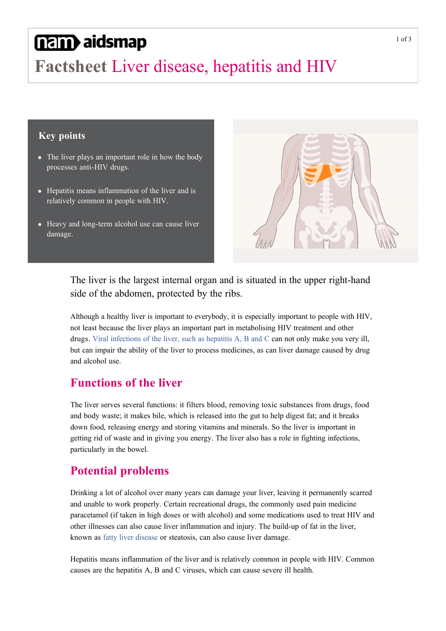# nam aidsmap

# **Factsheet** Liver disease, hepatitis and HIV

#### **Key points**

- The liver plays an important role in how the body processes anti-HIV drugs.
- Hepatitis means inflammation of the liver and is relatively common in people with HIV.
- Heavy and long-term alcohol use can cause liver damage.



#### The liver is the largest internal organ and is situated in the upper right-hand side of the abdomen, protected by the ribs.

Although a healthy liver is important to everybody, it is especially important to people with HIV, not least because the liver plays an important part in metabolising HIV treatment and other drugs. [Viral infections of the liver, such as hepatitis A, B and C](http://www.aidsmap.com/HIV-hepatitis/page/1506073/) can not only make you very ill, but can impair the ability of the liver to process medicines, as can liver damage caused by drug and alcohol use.

### **Functions of the liver**

The liver serves several functions: it filters blood, removing toxic substances from drugs, food and body waste; it makes bile, which is released into the gut to help digest fat; and it breaks down food, releasing energy and storing vitamins and minerals. So the liver is important in getting rid of waste and in giving you energy. The liver also has a role in fighting infections, particularly in the bowel.

### **Potential problems**

Drinking a lot of alcohol over many years can damage your liver, leaving it permanently scarred and unable to work properly. Certain recreational drugs, the commonly used pain medicine paracetamol (if taken in high doses or with alcohol) and some medications used to treat HIV and other illnesses can also cause liver inflammation and injury. The buildup of fat in the liver, known as [fatty liver disease](http://www.aidsmap.com/Fatty-liver-disease-and-HIV/page/3195491/) or steatosis, can also cause liver damage.

Hepatitis means inflammation of the liver and is relatively common in people with HIV. Common causes are the hepatitis A, B and C viruses, which can cause severe ill health.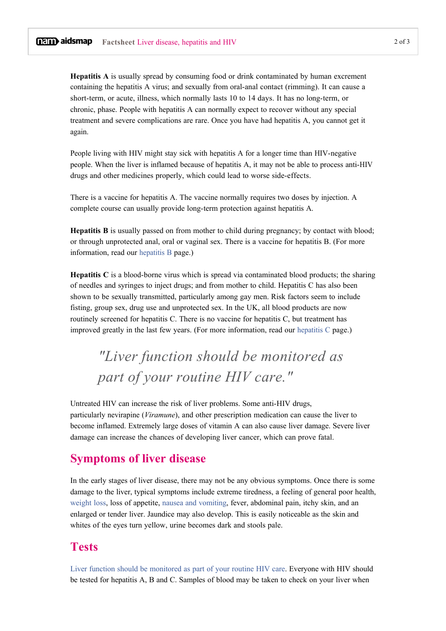**Hepatitis A** is usually spread by consuming food or drink contaminated by human excrement containing the hepatitis A virus; and sexually from oral-anal contact (rimming). It can cause a short-term, or acute, illness, which normally lasts 10 to 14 days. It has no long-term, or chronic, phase. People with hepatitis A can normally expect to recover without any special treatment and severe complications are rare. Once you have had hepatitis A, you cannot get it again.

People living with HIV might stay sick with hepatitis A for a longer time than HIV-negative people. When the liver is inflamed because of hepatitis A, it may not be able to process anti-HIV drugs and other medicines properly, which could lead to worse side-effects.

There is a vaccine for hepatitis A. The vaccine normally requires two doses by injection. A complete course can usually provide long-term protection against hepatitis A.

**Hepatitis B** is usually passed on from mother to child during pregnancy; by contact with blood; or through unprotected anal, oral or vaginal sex. There is a vaccine for hepatitis B. (For more information, read our [hepatitis B](http://www.aidsmap.com/Hepatitis-B-and-HIV/page/1045181/) page.)

**Hepatitis C** is a blood-borne virus which is spread via contaminated blood products; the sharing of needles and syringes to inject drugs; and from mother to child. Hepatitis C has also been shown to be sexually transmitted, particularly among gay men. Risk factors seem to include fisting, group sex, drug use and unprotected sex. In the UK, all blood products are now routinely screened for hepatitis C. There is no vaccine for hepatitis C, but treatment has improved greatly in the last few years. (For more information, read our [hepatitis C](http://www.aidsmap.com/Hepatitis-C-and-HIV/page/1045186/) page.)

## *"Liver function should be monitored as part of your routine HIV care."*

Untreated HIV can increase the risk of liver problems. Some anti-HIV drugs, particularly nevirapine (*Viramune*), and other prescription medication can cause the liver to become inflamed. Extremely large doses of vitamin A can also cause liver damage. Severe liver damage can increase the chances of developing liver cancer, which can prove fatal.

#### **Symptoms of liver disease**

In the early stages of liver disease, there may not be any obvious symptoms. Once there is some damage to the liver, typical symptoms include extreme tiredness, a feeling of general poor health, [weight loss](http://www.aidsmap.com/Unintentional-weight-loss/page/1044802/), loss of appetite, [nausea and vomiting](http://www.aidsmap.com/Nausea-and-vomiting/page/1044721/), fever, abdominal pain, itchy skin, and an enlarged or tender liver. Jaundice may also develop. This is easily noticeable as the skin and whites of the eyes turn yellow, urine becomes dark and stools pale.

#### **Tests**

[Liver function should be monitored as part of your routine HIV care](http://www.aidsmap.com/Other-tests/page/1327522/). Everyone with HIV should be tested for hepatitis A, B and C. Samples of blood may be taken to check on your liver when